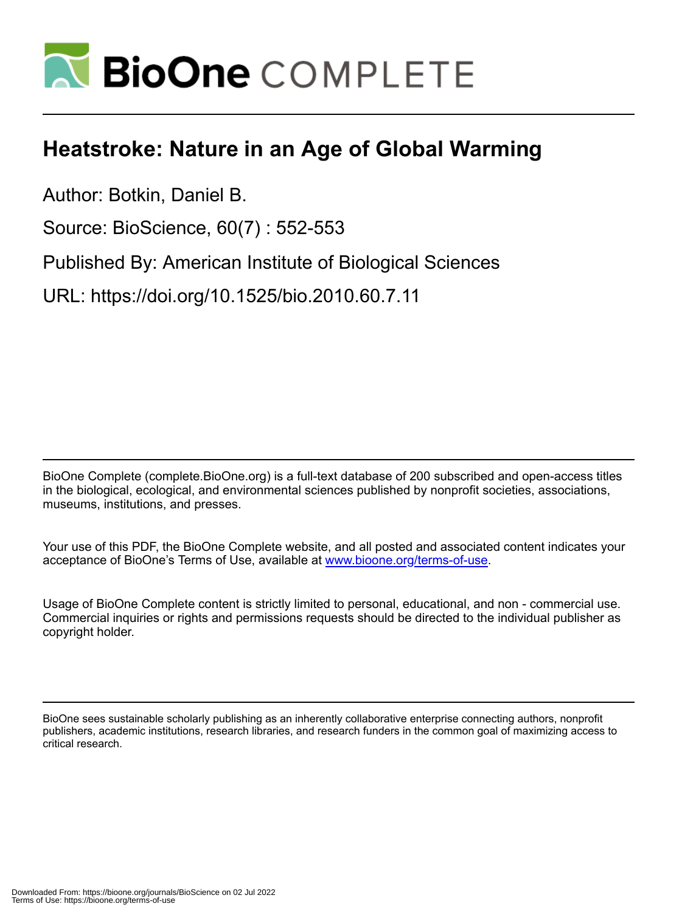

## **Heatstroke: Nature in an Age of Global Warming**

Author: Botkin, Daniel B.

Source: BioScience, 60(7) : 552-553

Published By: American Institute of Biological Sciences

URL: https://doi.org/10.1525/bio.2010.60.7.11

BioOne Complete (complete.BioOne.org) is a full-text database of 200 subscribed and open-access titles in the biological, ecological, and environmental sciences published by nonprofit societies, associations, museums, institutions, and presses.

Your use of this PDF, the BioOne Complete website, and all posted and associated content indicates your acceptance of BioOne's Terms of Use, available at www.bioone.org/terms-of-use.

Usage of BioOne Complete content is strictly limited to personal, educational, and non - commercial use. Commercial inquiries or rights and permissions requests should be directed to the individual publisher as copyright holder.

BioOne sees sustainable scholarly publishing as an inherently collaborative enterprise connecting authors, nonprofit publishers, academic institutions, research libraries, and research funders in the common goal of maximizing access to critical research.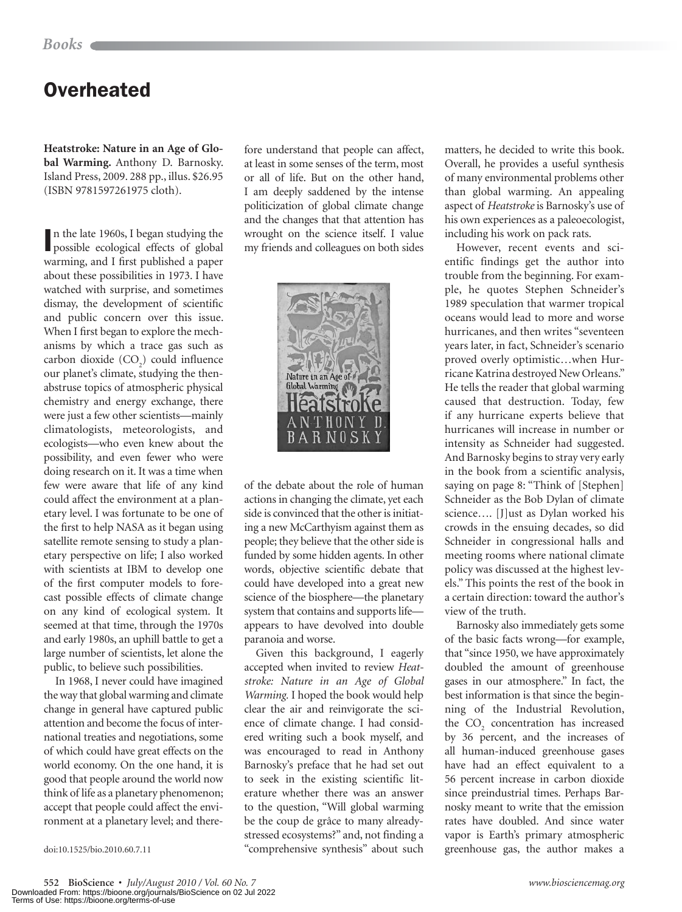## **Overheated**

**Heatstroke: Nature in an Age of Global Warming.** Anthony D. Barnosky. Island Press, 2009. 288 pp., illus. \$26.95 (ISBN 9781597261975 cloth).

In the late 1960s, I began studying the<br>possible ecological effects of global n the late 1960s, I began studying the warming, and I first published a paper about these possibilities in 1973. I have watched with surprise, and sometimes dismay, the development of scientific and public concern over this issue. When I first began to explore the mechanisms by which a trace gas such as carbon dioxide  $(CO_2)$  could influence our planet's climate, studying the thenabstruse topics of atmospheric physical chemistry and energy exchange, there were just a few other scientists—mainly climatologists, meteorologists, and ecologists—who even knew about the possibility, and even fewer who were doing research on it. It was a time when few were aware that life of any kind could affect the environment at a planetary level. I was fortunate to be one of the first to help NASA as it began using satellite remote sensing to study a planetary perspective on life; I also worked with scientists at IBM to develop one of the first computer models to forecast possible effects of climate change on any kind of ecological system. It seemed at that time, through the 1970s and early 1980s, an uphill battle to get a large number of scientists, let alone the public, to believe such possibilities.

In 1968, I never could have imagined the way that global warming and climate change in general have captured public attention and become the focus of international treaties and negotiations, some of which could have great effects on the world economy. On the one hand, it is good that people around the world now think of life as a planetary phenomenon; accept that people could affect the environment at a planetary level; and therefore understand that people can affect, at least in some senses of the term, most or all of life. But on the other hand, I am deeply saddened by the intense politicization of global climate change and the changes that that attention has wrought on the science itself. I value my friends and colleagues on both sides



of the debate about the role of human actions in changing the climate, yet each side is convinced that the other is initiating a new McCarthyism against them as people; they believe that the other side is funded by some hidden agents. In other words, objective scientific debate that could have developed into a great new science of the biosphere—the planetary system that contains and supports life appears to have devolved into double paranoia and worse.

Given this background, I eagerly accepted when invited to review *Heatstroke: Nature in an Age of Global Warming.* I hoped the book would help clear the air and reinvigorate the science of climate change. I had considered writing such a book myself, and was encouraged to read in Anthony Barnosky's preface that he had set out to seek in the existing scientific literature whether there was an answer to the question, "Will global warming be the coup de grâce to many alreadystressed ecosystems?" and, not finding a "comprehensive synthesis" about such matters, he decided to write this book. Overall, he provides a useful synthesis of many environmental problems other than global warming. An appealing aspect of *Heatstroke* is Barnosky's use of his own experiences as a paleoecologist, including his work on pack rats.

However, recent events and scientific findings get the author into trouble from the beginning. For example, he quotes Stephen Schneider's 1989 speculation that warmer tropical oceans would lead to more and worse hurricanes, and then writes "seventeen years later, in fact, Schneider's scenario proved overly optimistic…when Hurricane Katrina destroyed New Orleans." He tells the reader that global warming caused that destruction. Today, few if any hurricane experts believe that hurricanes will increase in number or intensity as Schneider had suggested. And Barnosky begins to stray very early in the book from a scientific analysis, saying on page 8: "Think of [Stephen] Schneider as the Bob Dylan of climate science…. [J]ust as Dylan worked his crowds in the ensuing decades, so did Schneider in congressional halls and meeting rooms where national climate policy was discussed at the highest levels." This points the rest of the book in a certain direction: toward the author's view of the truth.

Barnosky also immediately gets some of the basic facts wrong—for example, that "since 1950, we have approximately doubled the amount of greenhouse gases in our atmosphere." In fact, the best information is that since the beginning of the Industrial Revolution, the  $CO<sub>2</sub>$  concentration has increased by 36 percent, and the increases of all human-induced greenhouse gases have had an effect equivalent to a 56 percent increase in carbon dioxide since preindustrial times. Perhaps Barnosky meant to write that the emission rates have doubled. And since water vapor is Earth's primary atmospheric greenhouse gas, the author makes a

doi:10.1525/bio.2010.60.7.11